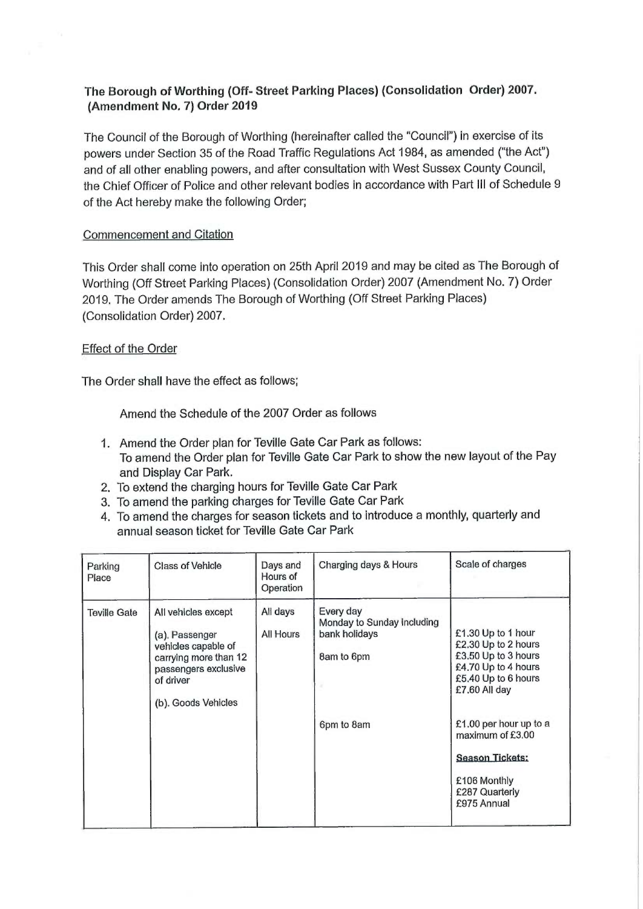## The Borough of Worthing (Off- Street Parking Places) (Consolidation Order) 2007. (Amendment No. 7) Order 2019

The Council of the Borough of Worthing (hereinafter called the "Council") in exercise of its powers under Section 35 of the Road Traffic Regulations Act 1984, as amended ("the Act") and of all other enabling powers, and after consultation with West Sussex County Council, the Chief Officer of Police and other relevant bodies in accordance with Part III of Schedule 9 of the Act hereby make the following Order;

## Commencement and Citation

This Order shall come into operation on 25th April 2019 and may be cited as The Borough of Worthing (Off Street Parking Places) (Consolidation Order) 2007 (Amendment No. 7) Order 2019. The Order amends The Borough of Worthing (Off Street Parking Places) (Consolidation Order) 2007.

## Effect of the Order

The Order shall have the effect as follows;

Amend the Schedule of the 2007 Order as follows

- 1. Amend the Order plan for Teville Gate Car Park as follows: To amend the Order plan for Teville Gate Car Park to show the new layout of the Pay and Display Car Park.
- 2. To extend the charging hours for Teville Gate Car Park
- 3. To amend the parking charges for Teville Gate Car Park
- 4. To amend the charges for season tickets and to introduce a monthly, quarterly and annual season ticket for Teville Gate Car Park

| Parking<br>Place    | <b>Class of Vehicle</b>                                                                                                                           | Days and<br>Hours of<br>Operation | Charging days & Hours                                                                | Scale of charges                                                                                                                                                                                                                                         |
|---------------------|---------------------------------------------------------------------------------------------------------------------------------------------------|-----------------------------------|--------------------------------------------------------------------------------------|----------------------------------------------------------------------------------------------------------------------------------------------------------------------------------------------------------------------------------------------------------|
| <b>Teville Gate</b> | All vehicles except<br>(a). Passenger<br>vehicles capable of<br>carrying more than 12<br>passengers exclusive<br>of driver<br>(b). Goods Vehicles | All days<br>All Hours             | Every day<br>Monday to Sunday Including<br>bank holidays<br>8am to 6pm<br>6pm to 8am | £1.30 Up to 1 hour<br>£2.30 Up to 2 hours<br>£3.50 Up to 3 hours<br>£4.70 Up to 4 hours<br>£5.40 Up to 6 hours<br>£7.60 All day<br>£1.00 per hour up to a<br>maximum of £3.00<br><b>Season Tickets:</b><br>£106 Monthly<br>£287 Quarterly<br>£975 Annual |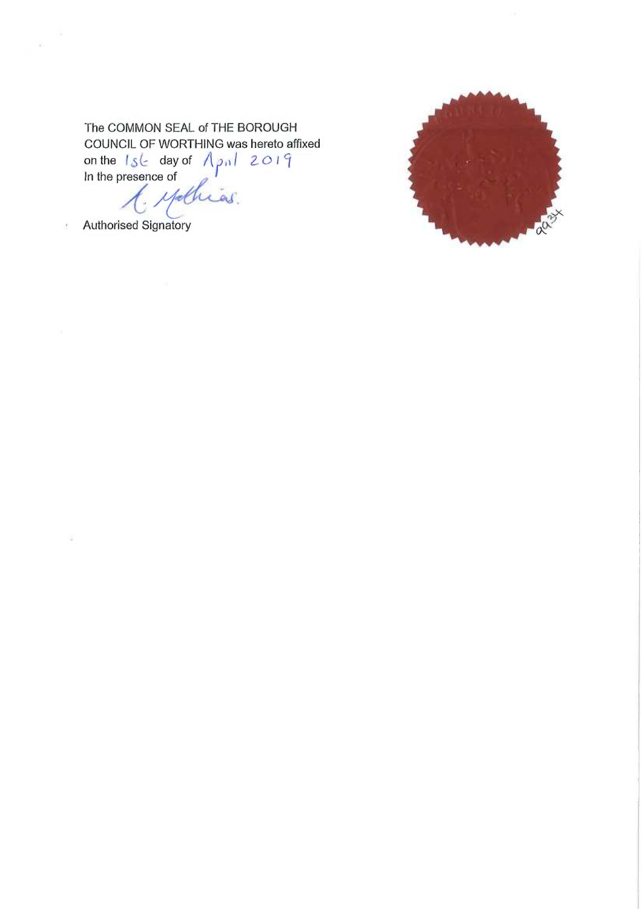## The COMMON SEAL of THE BOROUGH COUNCIL OF WORTHING was hereto affixed on the  $1s \leq$  day of  $\sqrt{p_0/2019}$ <br>In the presence of Authorised Signatory

 $\tilde{\mathcal{L}}$ 

ķ.